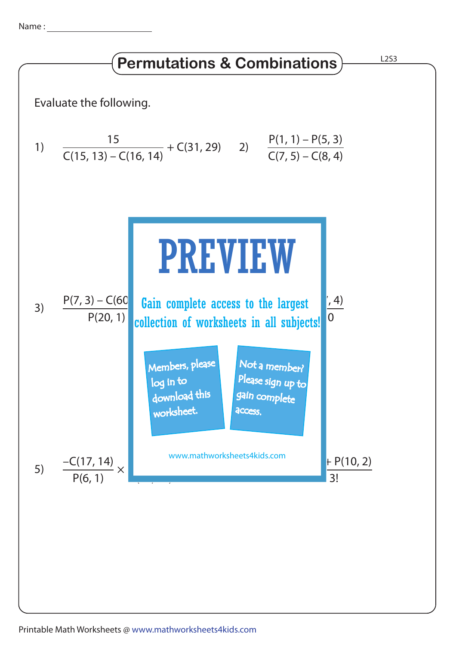